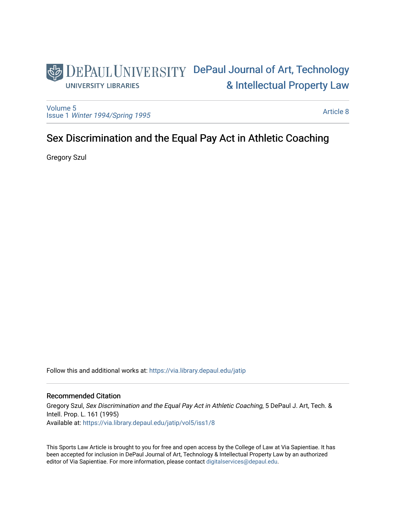# DEPAUL UNIVERSITY DePaul Journal of Art, Technology [& Intellectual Property Law](https://via.library.depaul.edu/jatip)  **UNIVERSITY LIBRARIES**

[Volume 5](https://via.library.depaul.edu/jatip/vol5) Issue 1 [Winter 1994/Spring 1995](https://via.library.depaul.edu/jatip/vol5/iss1)

[Article 8](https://via.library.depaul.edu/jatip/vol5/iss1/8) 

# Sex Discrimination and the Equal Pay Act in Athletic Coaching

Gregory Szul

Follow this and additional works at: [https://via.library.depaul.edu/jatip](https://via.library.depaul.edu/jatip?utm_source=via.library.depaul.edu%2Fjatip%2Fvol5%2Fiss1%2F8&utm_medium=PDF&utm_campaign=PDFCoverPages)

# Recommended Citation

Gregory Szul, Sex Discrimination and the Equal Pay Act in Athletic Coaching, 5 DePaul J. Art, Tech. & Intell. Prop. L. 161 (1995) Available at: [https://via.library.depaul.edu/jatip/vol5/iss1/8](https://via.library.depaul.edu/jatip/vol5/iss1/8?utm_source=via.library.depaul.edu%2Fjatip%2Fvol5%2Fiss1%2F8&utm_medium=PDF&utm_campaign=PDFCoverPages)

This Sports Law Article is brought to you for free and open access by the College of Law at Via Sapientiae. It has been accepted for inclusion in DePaul Journal of Art, Technology & Intellectual Property Law by an authorized editor of Via Sapientiae. For more information, please contact [digitalservices@depaul.edu](mailto:digitalservices@depaul.edu).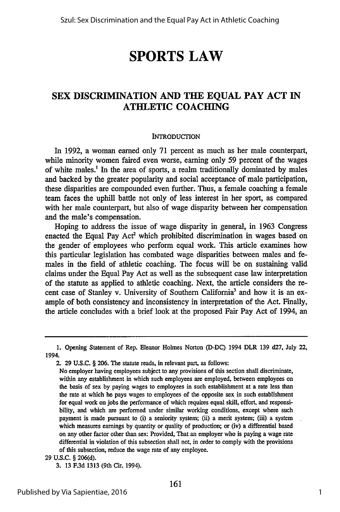# **SPORTS LAW**

# **SEX DISCRIMINATION AND THE EQUAL PAY ACT IN ATHLETIC COACHING**

#### **INTRODUCTION**

In 1992, a woman earned only **71** percent as much as her male counterpart, while minority women faired even worse, earning only 59 percent of the wages of white males.' In the area of sports, a realm traditionally dominated by males and backed by the greater popularity and social acceptance of male participation, these disparities are compounded even further. Thus, a female coaching a female team faces the uphill battle not only of less interest in her sport, as compared with her male counterpart, but also of wage disparity between her compensation and the male's compensation.

Hoping to address the issue of wage disparity in general, in 1963 Congress enacted the Equal Pay Act<sup>2</sup> which prohibited discrimination in wages based on the gender of employees who perform equal work. This article examines how this particular legislation has combated wage disparities between males and females in the field of athletic coaching. The focus will be on sustaining valid claims under the Equal Pay Act as well as the subsequent case law interpretation of the statute as applied to athletic coaching. Next, the article considers the recent case of Stanley v. University of Southern California<sup>3</sup> and how it is an example of both consistency and inconsistency in interpretation of the Act. Finally, the article concludes with a brief look at the proposed Fair Pay Act of 1994, an

<sup>1.</sup> Opening Statement of Rep. Eleanor Holmes Norton (D-DC) 1994 DLR 139 d27, July 22, 1994.

<sup>2. 29</sup> **U.S.C. § 206.** The statute reads, in relevant part, as follows:

No employer having employees subject to any provisions of this section shall discriminate, within any establishment in which such employees are employed, between employees on the basis of sex **by** paying wages to employees in such establishment at a rate less than the rate at which he pays wages to employees of the opposite sex in such establishment for equal work on jobs the performance of which requires equal skill, effort, and responsibility, and which are performed under similar working conditions, except where such payment is made pursuant to (i) a seniority system; (ii) a merit system; (iii) a system which measures earnings **by** quantity or quality of production; or (iv) a differential based on any other factor other than sex: Provided, **That** an employer who is paying a wage rate differential in violation of this subsection shall not, in order to comply with the provisions of this subsection, reduce the wage rate of any employee.

**<sup>29</sup>** U.S.C. § 206(d).

<sup>3. 13</sup> F.3d 1313 (9th Cir. 1994).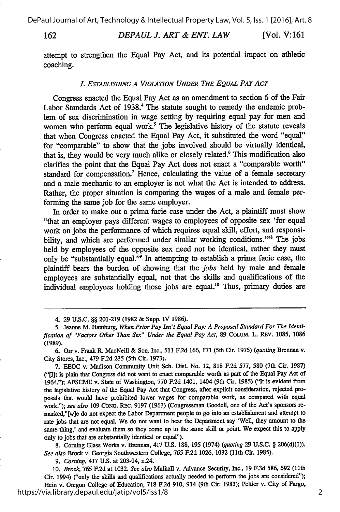162

*DEPAUL J. ART & ENT. LAW* [Vol. V: **161**

attempt to strengthen the Equal Pay Act, and its potential impact on athletic coaching.

#### L *ESTABLISHING A VIOLATION UNDER THE EQUAL PAY ACT*

Congress enacted the Equal Pay Act as an amendment to section 6 of the Fair Labor Standards Act of 1938.' The statute sought to remedy the endemic problem of sex discrimination in wage setting by requiring equal pay for men and women who perform equal work.<sup>5</sup> The legislative history of the statute reveals that when Congress enacted the Equal Pay Act, it substituted the word "equal" for "comparable" to show that the jobs involved should be virtually identical, that is, they would be very much alike or closely related.<sup>6</sup> This modification also clarifies the point that the Equal Pay Act does not enact a "comparable worth" standard for compensation.<sup>7</sup> Hence, calculating the value of a female secretary and a male mechanic to an employer is not what the Act is intended to address. Rather, the proper situation is comparing the wages of a male and female performing the same job for the same employer.

In order to make out a prima facie case under the Act, a plaintiff must show "that an employer pays different wages to employees of opposite sex 'for equal work on jobs the performance of which requires equal skill, effort, and responsibility, and which are performed under similar working conditions."<sup>8</sup> The jobs held by employees of the opposite sex need not be identical, rather they must only be "substantially equal."<sup>9</sup> In attempting to establish a prima facie case, the plaintiff bears the burden of showing that the *jobs* held by male and female employees are substantially equal, not that the skills and qualifications of the individual employees holding those jobs are equal.<sup>10</sup> Thus, primary duties are

7. EEOC v. Madison Community Unit Sch. Dist. No. 12, 818 F.2d 577, 580 (7th Cir. 1987) ("[Ilt is plain that Congress did not want to enact comparable worth as part of the Equal Pay Act of 1964."); AFSCME v. State of Washington, 770 F.2d 1401, 1404 (9th Cir. 1985) ("It is evident from the legislative history of the Equal Pay Act that Congress, after explicit consideration, rejected proposals that would have prohibited lower wages for comparable work, as compared with equal work."); *see also* 109 CONG. REc. 9197 (1963) (Congressman Goodell, one of the Act's sponsors remarked,"[w]e do not expect the Labor Department people to go into an establishment and attempt to rate jobs that are not equal. We do not want to hear the Department say 'Well, they amount to the same thing,' and evaluate them so they come up to the same skill or point. We expect this to apply only to jobs that are substantially identical or equal").

8. Coming Glass Works v. Brennan, 417 U.S. 188, 195 (1974) *(quoting* 29 U.S.C. § 206(d)(1)). *See also* Brock v. Georgia Southwestern College, 765 F.2d 1026, 1032 **(11th** Cir. 1985).

*9. Corning,* 417 U.S. at 203-04, n.24.

*10. Brock,* 765 F.2d at 1032. *See also* Mulhall v. Advance Security, Inc., 19 F.3d 586, **592** (11th Cir. 1994) ("only the skills and qualifications actually needed to perform the jobs are considered"); Hein v. Oregon College of Education, 718 F.2d 910, 914 (9th Cir. 1983); Peltier v. City of Fargo, https://via.library.depaul.edu/jatip/vol5/iss1/8

<sup>4. 29</sup> U.S.C. §§ 201-219 (1982 & Supp. IV 1986).

<sup>5.</sup> Jeanne M. Hamburg, *When Prior Pay Isn't Equal Pay: A Proposed Standard For The Identification of "Factors Other Than Sex" Under the Equal Pay Act,* 89 COLuM. L. REv. 1085, 1086 **(1989).**

<sup>6.</sup> Orr v. Frank R. MacNeill & Son, Inc., 511 F.2d 166, 171 (5th Cir. 1975) *(quoting* Brennan v. City Stores, Inc., 479 F.2d **235** (5th Cir. 1973).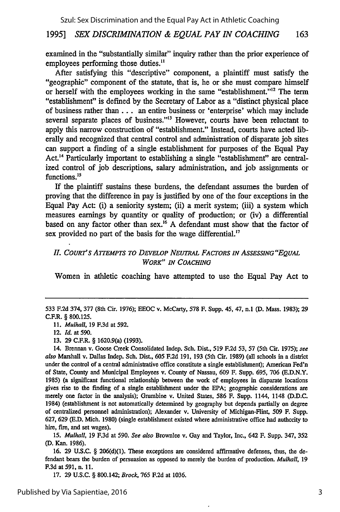examined in the "substantially similar" inquiry rather than the prior experience of employees performing those duties."

After satisfying this "descriptive" component, a plaintiff must satisfy the "geographic" component of the statute, that is, he or she must compare himself or herself with the employees working in the same "establishment."<sup>12</sup> The term "establishment" is defined by the Secretary of Labor as a "distinct physical place of business rather than... an entire business or 'enterprise' which may include several separate places of business."<sup>13</sup> However, courts have been reluctant to apply this narrow construction of "establishment." Instead, courts have acted liberally and recognized that central control and administration of disparate job sites can support a finding of a single establishment for purposes of the Equal Pay Act.<sup>14</sup> Particularly important to establishing a single "establishment" are centralized control of job descriptions, salary administration, and job assignments or functions.<sup>15</sup>

If the plaintiff sustains these burdens, the defendant assumes the burden of proving that the difference in pay is justified by one of the four exceptions in the Equal Pay Act: (i) a seniority system; (ii) a merit system; (iii) a system which measures earnings by quantity or quality of production; or (iv) a differential based on any factor other than sex.<sup>16</sup> A defendant must show that the factor of sex provided no part of the basis for the wage differential.'<sup>7</sup>

## **I.** *COURT'S ATFEMPTS TO DEVELOP NEUTRAL FACTORS IN ASSESSING"EQUAL WORK" IN COACHING*

Women in athletic coaching have attempted to use the Equal Pay Act to

14. Brennan v. Goose Creek Consolidated Indep. Sch. Dist., **519 F.2d 53,** 57 (5th Cir. **1975);** *see also* Marshall v. Dallas Indep. Sch. Dist., **605 F.2d 191, 193** (5th Cir. **1989)** (all schools in a district under the control of a central administrative office constitute a single establishment); American Fed'n of State, County and Municipal Employees v. County of Nassau, 609 F. Supp. 695, 706 (E.D.N.Y. 1985) (a significant functional relationship between the work of employees in disparate locations gives rise to the finding of a single establishment under the EPA; geographic considerations are merely one factor in the analysis); Grumbine v. United States, 586 F. Supp. 1144, 1148 (D.D.C. 1984) (establishment is not automatically determined by geography but depends partially on degree of centralized personnel administration); Alexander v. University of Michigan-Flint, 509 F. Supp. 627, 629 (E.D. Mich. 1980) (single establishment existed where administrative office had authority to hire, fire, and set wages).

15. *Mulhall,* 19 F.3d at 590. *See also* Brownlee v. Gay and Taylor, Inc., 642 F. Supp. 347, 352 **(D.** Kan. 1986).

16. 29 U.S.C. § 206(d)(1). These exceptions are considered affirmative defenses, thus, the defendant bears the burden of persuasion as opposed to merely the burden of production. *Mulhall,* 19 F.3d at 591, n. 11.

17. **29** U.S.C. § 800.142; *Brock,* 765 F.2d at 1036.

<sup>533</sup> F.2d 374, 377 (8th Cir. 1976); EEOC v. McCarty, 578 F. Supp. 45, 47, n.1 **(D.** Mass. 1983); 29 C.F.R. § **800.125.**

*<sup>11.</sup> Mulhall,* **19 F.3d** at **592.**

<sup>12.</sup> *Id.* at **590.**

**<sup>13. 29</sup>** C.F.R. § 1620.9(a) **(1993).**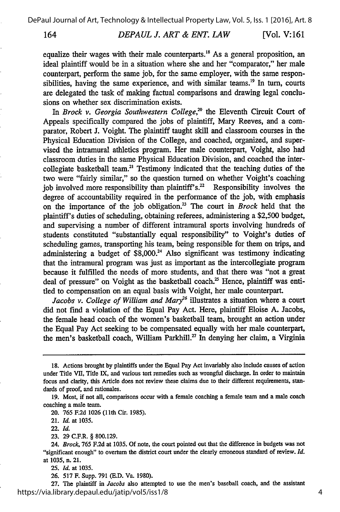164 *DEPAUL J. ART & ENT. LAW* [Vol. V: **161**

equalize their wages with their male counterparts.<sup>18</sup> As a general proposition, ar ideal plaintiff would be in a situation where she and her "comparator," her male counterpart, perform the same job, for the same employer, with the same responsibilities, having the same experience, and with similar teams.<sup>19</sup> In turn, courts are delegated the task of making factual comparisons and drawing legal conclusions on whether sex discrimination exists.

In *Brock v. Georgia Southwestern College*,<sup>20</sup> the Eleventh Circuit Court of Appeals specifically compared the jobs of plaintiff, Mary Reeves, and a comparator, Robert J. Voight. The plaintiff taught skill and classroom courses in the Physical Education Division of the College, and coached, organized, and supervised the intramural athletics program. Her male counterpart, Voight, also had classroom duties in the same Physical Education Division, and coached the intercollegiate basketball team.<sup>21</sup> Testimony indicated that the teaching duties of the two were "fairly similar," so the question turned on whether Voight's coaching job involved more responsibility than plaintiff's.<sup>22</sup> Responsibility involves the degree of accountability required in the performance of the job, with emphasis on the importance of the job obligation.<sup>23</sup> The court in *Brock* held that the plaintiff's duties of scheduling, obtaining referees, administering a \$2,500 budget, and supervising a number of different intramural sports involving hundreds of students constituted "substantially equal responsibility" to Voight's duties of scheduling games, transporting his team, being responsible for them on trips, and administering a budget of  $$8,000.<sup>24</sup>$  Also significant was testimony indicating that the intramural program was just as important as the intercollegiate program because it fulfilled the needs of more students, and that there was "not a great deal of pressure" on Voight as the basketball coach.<sup>25</sup> Hence, plaintiff was entitled to compensation on an equal basis with Voight, her male counterpart.

Jacobs v. College of William and Mary<sup>26</sup> illustrates a situation where a court did not find a violation of the Equal Pay Act. Here, plaintiff Eloise A. Jacobs, the female head coach of the women's basketball team, brought an action under the Equal Pay Act seeking to be compensated equally with her male counterpart, the men's basketball coach, William Parkhill.<sup>27</sup> In denying her claim, a Virginia

20. 765 F.2d 1026 **(11th** Cir. 1985).

21. *Id.* at 1035.

22. *Id.*

23. 29 C.F.R. § 800.129.

**25.** *Id.* at 1035.

26. 517 F. Supp. 791 (E.D. Va. 1980).

**27.** The plaintiff in *Jacobs* also attempted to use the men's baseball coach, and the assistant https://via.library.depaul.edu/jatip/vol5/iss1/8

<sup>18.</sup> Actions brought by plaintiffs under the Equal Pay Act invariably also include causes of action under Title VII, Title IX, and various tort remedies such as wrongful discharge. In order to maintain focus and clarity, this Article does not review these claims due to their different requirements, standards of proof, and rationales.

<sup>19.</sup> Most, if not all, comparisons occur with a female coaching a female team and a male coach coaching a male team.

<sup>24.</sup> *Brock,* 765 F.2d at 1035. Of note, the court pointed out that the difference in budgets was not "significant enough" to overturn the district court under the clearly erroneous standard of review. *Id.* at 1035, n. 21.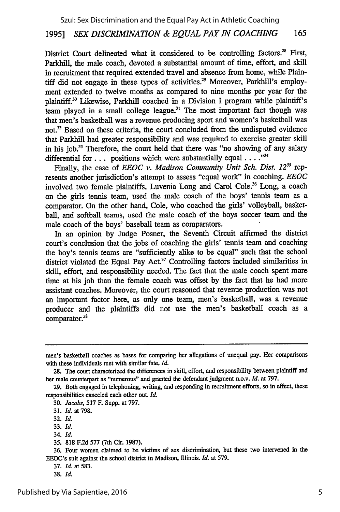District Court delineated what it considered to be controlling factors.<sup>28</sup> First, Parkhill, the male coach, devoted a substantial amount of time, effort, and skill in recruitment that required extended travel and absence from home, while Plaintiff did not engage in these types of activities.<sup>29</sup> Moreover, Parkhill's employment extended to twelve months as compared to nine months per year for the plaintiff." Likewise, Parkhill coached in a Division I program while plaintiff's team played in a small college league.<sup>31</sup> The most important fact though was that men's basketball was a revenue producing sport and women's basketball was not.<sup>32</sup> Based on these criteria, the court concluded from the undisputed evidence that Parkhill had greater responsibility and was required to exercise greater skill in his job.<sup>33</sup> Therefore, the court held that there was "no showing of any salary differential for.., positions which were substantially equal **.... "'**

Finally, the case of *EEOC v. Madison Community Unit Sch. Dist. 12<sup>35</sup>* represents another jurisdiction's attempt to assess "equal work" in coaching. *EEOC* involved two female plaintiffs, Luvenia Long and Carol Cole.<sup>36</sup> Long, a coach on the girls tennis team, used the male coach of the boys' tennis team as a comparator. On the other hand, Cole, who coached the girls' volleyball, basketball, and softball teams, used the male coach of the boys soccer team and the male coach of the boys' baseball team as comparators.

In an opinion by Judge Posner, the Seventh Circuit affirmed the district court's conclusion that the jobs of coaching the girls' tennis team and coaching the boy's tennis teams are "sufficiently alike to be equal" such that the school district violated the Equal Pay Act.<sup>37</sup> Controlling factors included similarities in skill, effort, and responsibility needed. The fact that the male coach spent more time at his job than the female coach was offset by the fact that he had more assistant coaches. Moreover, the court reasoned that revenue production was not an important factor here, as only one team, men's basketball, was a revenue producer and the plaintiffs did not use the men's basketball coach as a comparator.<sup>38</sup>

30. *Jacobs,* 517 F. Supp. at 797.

men's basketball coaches as bases for comparing her allegations of unequal pay. Her comparisons with these individuals met with similar fate. *Id.*

**<sup>28.</sup>** The court characterized the differences in skill, effort, and responsibility between plaintiff and her male counterpart as "numerous" and granted the defendant judgment n.o.v. *Id.* at 797.

**<sup>29.</sup>** Both engaged in telephoning, writing, and responding in recruitment efforts, so in effect, these responsibilities canceled each other out. *Id.*

<sup>31.</sup> *Id.* at 798.

<sup>32.</sup> *Id.*

**<sup>33.</sup>** *Id.*

<sup>34.</sup> *Id.*

**<sup>35. 818</sup> F.2d 577** (7th Cir. **1987).**

**<sup>36.</sup>** Four women claimed to be victims of sex discrimination, but these two intervened in the EEOC's suit against the school district in Madison, Illinois. *Id.* at 579.

<sup>37.</sup> *Id.* at 583.

**<sup>38.</sup>** *Id.*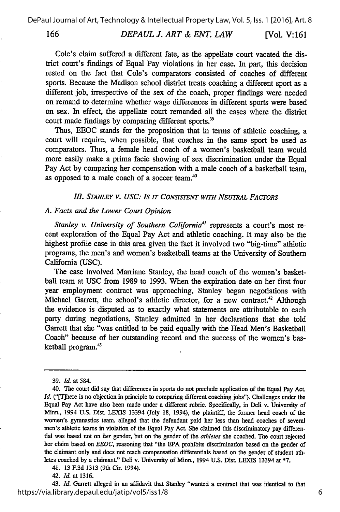#### *DEPAUL J. ART & ENT. LAW* 166 [Vol. **V:161**

Cole's claim suffered a different fate, as the appellate court vacated the district court's findings of Equal Pay violations in her case. In part, this decision rested on the fact that Cole's comparators consisted of coaches of different sports. Because the Madison school district treats coaching a different sport as a different job, irrespective of the sex of the coach, proper findings were needed on remand to determine whether wage differences in different sports were based on sex. In effect, the appellate court remanded all the cases where the district court made findings by comparing different sports.<sup>39</sup>

Thus, EEOC stands for the proposition that in terms of athletic coaching, a court will require, when possible, that coaches in the same sport be used as comparators. Thus, a female head coach of a women's basketball team would more easily make a prima facie showing of sex discrimination under the Equal Pay Act by comparing her compensation with a male coach of a basketball team, as opposed to a male coach of a soccer team.'

#### **II.** *STANLEY V. USC: Is IT CONSISTENT WITH NEUTRAL FACTORS*

#### *A. Facts and the Lower Court Opinion*

*Stanley v. University of Southern California'* represents a court's most recent exploration of the Equal Pay Act and athletic coaching. It may also be the highest profile case in this area given the fact it involved two "big-time" athletic programs, the men's and women's basketball teams at the University of Southern California (USC).

The case involved Marriane Stanley, the head coach of the women's basketball team at USC from 1989 to 1993. When the expiration date on her first four year employment contract was approaching, Stanley began negotiations with Michael Garrett, the school's athletic director, for a new contract.<sup>42</sup> Although the evidence is disputed as to exactly what statements are attributable to each party during negotiations, Stanley admitted in her declarations that she told Garrett that she "was entitled to be paid equally with the Head Men's Basketball Coach" because of her outstanding record and the success of the women's basketball program.43

41. 13 F.3d 1313 (9th Cir. 1994).

42. *Id.* at 1316.

43. *Id.* Garrett alleged in an affidavit that Stanley "wanted a contract that was identical to that https://via.library.depaul.edu/jatip/vol5/iss1/8

<sup>39.</sup> *Id.* at 584.

<sup>40.</sup> The court did say that differences in sports do not preclude application of the Equal Pay Act. *Id.* ("[T]here is no objection in principle to comparing different coaching jobs"). Challenges under the Equal Pay Act have also been made under a different rubric. Specifically, in Deli v. University of Minn., 1994 U.S. Dist. LEXIS 13394 (July 18, 1994), the plaintiff, the former head coach of the women's gymnastics team, alleged that the defendant paid her less than head coaches of several men's athletic teams in violation of the Equal Pay Act. She claimed this discriminatory pay differential was based not on *her* gender, but on the gender of the *athletes* she coached. The court rejected her claim based on *EEOC,* reasoning that "the EPA prohibits discrimination based on the gender of the claimant only and does not reach compensation differentials based on the gender of student athletes coached by a claimant." Deli v. University of Minn., 1994 U.S. Dist. LEXIS 13394 at **\*7.**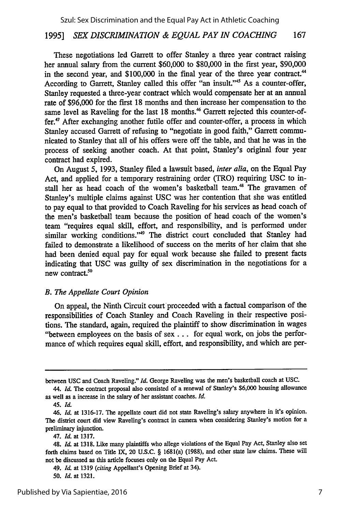These negotiations led Garrett to offer Stanley a three year contract raising her annual salary from the current \$60,000 to \$80,000 in the first year, \$90,000 in the second year, and \$100,000 in the final year of the three year contract.<sup>44</sup> According to Garrett, Stanley called this offer "an insult."'45 As a counter-offer, Stanley requested a three-year contract which would compensate her at an annual rate of \$96,000 for the first 18 months and then increase her compensation to the same level as Raveling for the last 18 months.<sup>46</sup> Garrett rejected this counter-offer.<sup>47</sup> After exchanging another futile offer and counter-offer, a process in which Stanley accused Garrett of refusing to "negotiate in good faith," Garrett communicated to Stanley that all of his offers were off the table, and that he was in the process of seeking another coach. At that point, Stanley's original four year contract had expired.

On August 5, 1993, Stanley filed a lawsuit based, *inter alia,* on the Equal Pay Act, and applied for a temporary restraining order (TRO) requiring USC to install her as head coach of the women's basketball team.<sup>48</sup> The gravamen of Stanley's multiple claims against USC was her contention that she was entitled to pay equal to that provided to Coach Raveling for his services as head coach of the men's basketball team because the position of head coach of the women's team "requires equal skill, effort, and responsibility, and is performed under similar working conditions."<sup>49</sup> The district court concluded that Stanley had failed to demonstrate a likelihood of success on the merits of her claim that she had been denied equal pay for equal work because she failed to present facts indicating that **USC** was guilty of sex discrimination in the negotiations for a new contract. $50$ 

#### *B. The Appellate Court Opinion*

On appeal, the Ninth Circuit court proceeded with a factual comparison of the responsibilities of Coach Stanley and Coach Raveling in their respective positions. The standard, again, required the plaintiff to show discrimination in wages "between employees on the basis of sex.., for equal work, on jobs the performance of which requires equal skill, effort, and responsibility, and which are per-

between USC and Coach Raveling." *Id.* George Raveling was the men's basketball coach at USC.

<sup>44.</sup> *Id.* The contract proposal also consisted of a renewal of Stanley's \$6,000 housing allowance as well as a increase in the salary of her assistant coaches. *Id.*

*<sup>45.</sup> Id.*

*<sup>46.</sup> Id.* at 1316-17. The appellate court did not state Raveling's salary anywhere in it's opinion. The district court did view Raveling's contract in camera when considering Stanley's motion for a preliminary injunction.

<sup>47.</sup> *Id.* at 1317.

<sup>48.</sup> *Id.* at 1318. Like many plaintiffs who allege violations of the Equal Pay Act, Stanley also set forth claims based on Title IX, 20 U.S.C. § 1681(a) (1988), and other state law claims. These will not be discussed as this article focuses only on the Equal Pay Act.

<sup>49.</sup> *Id.* at 1319 (citing Appellant's Opening Brief at 34).

<sup>50.</sup> *Id.* at 1321.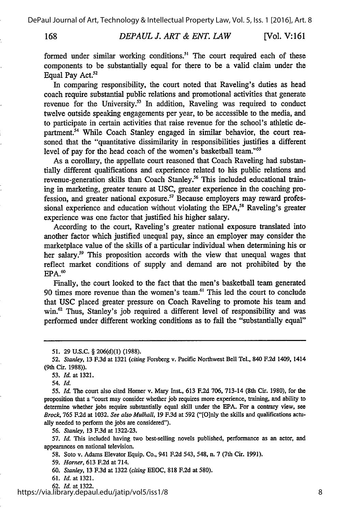168

*DEPAUL J. ART & ENT. LAW* [Vol. V:161]

formed under similar working conditions.<sup>51</sup> The court required each of these components to be substantially equal for there to be a valid claim under the Equal Pay Act.<sup>52</sup>

In comparing responsibility, the court noted that Raveling's duties as head coach require substantial public relations and promotional activities that generate revenue for the University.<sup>53</sup> In addition, Raveling was required to conduct twelve outside speaking engagements per year, to be accessible to the media, and to participate in certain activities that raise revenue for the school's athletic department.<sup>54</sup> While Coach Stanley engaged in similar behavior, the court reasoned that the "quantitative dissimilarity in responsibilities justifies a different level of pay for the head coach of the women's basketball team."<sup>55</sup>

As a corollary, the appellate court reasoned that Coach Raveling had substantially different qualifications and experience related to his public relations and revenue-generation skills than Coach Stanley.<sup>56</sup> This included educational training in marketing, greater tenure at USC, greater experience in the coaching profession, and greater national exposure.<sup>57</sup> Because employers may reward professional experience and education without violating the EPA,<sup>58</sup> Raveling's greater experience was one factor that justified his higher salary.

According to the court, Raveling's greater national exposure translated into another factor which justified unequal pay, since an employer may consider the marketplace value of the skills of a particular individual when determining his or her salary.<sup>59</sup> This proposition accords with the view that unequal wages that reflect market conditions of supply and demand are not prohibited by the  $EPA.<sup>60</sup>$ 

Finally, the court looked to the fact that the men's basketball team generated 90 times more revenue than the women's team.<sup>61</sup> This led the court to conclude that USC placed greater pressure on Coach Raveling to promote his team and win.<sup>62</sup> Thus, Stanley's job required a different level of responsibility and was performed under different working conditions as to fail the "substantially equal"

**53.** *Id.* at **1321.**

*54. Id.*

*55. Id.* The court also cited Homer v. Mary Inst., 613 F.2d 706, 713-14 (8th Cir. 1980), for the proposition that a "court may consider whether job requires more experience, training, and ability to determine whether jobs require substantially equal skill under the EPA. For a contrary view, see *Brock,* 765 F.2d at 1032. *See also Mulhall,* 19 F.3d at **592** ("[O]nly the skills and qualifications actually needed to perform the jobs are considered").

*56. Stanley,* 13 F.3d at 1322-23.

**57.** *Id.* This included having two best-selling novels published, performance as an actor, and appearances on national television.

**58.** Soto v. Adams Elevator Equip. Co., 941 F.2d 543, 548, n. **7** (7th Cir. **1991).**

**59.** *Homer,* 613 F.2d at 714.

60. *Stanley,* 13 F.3d at 1322 *(citing* EEOC, 818 F.2d at **580).**

**61.** *Id.* at 1321.

62. *Id.* at 1322.

https://via.library.depaul.edu/jatip/vol5/iss1/8

**<sup>51. 29</sup> U.S.C.** § **206(d)(1) (1988).**

*<sup>52.</sup> Stanley,* **13 F.3d** at **1321** *(citing* Forsberg v. Pacific Northwest Bell Tel., 840 F.2d 1409, 1414 (9th Cir. 1988)).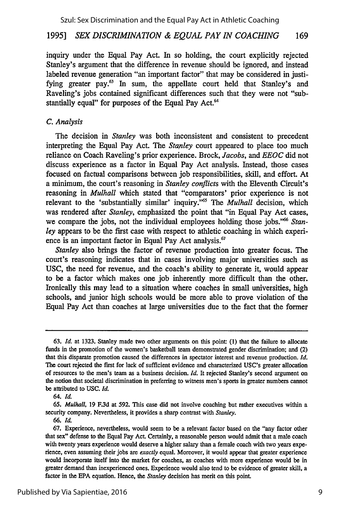inquiry under the Equal Pay Act. In so holding, the court explicitly rejected Stanley's argument that the difference in revenue should be ignored, and instead labeled revenue generation "an important factor" that may be considered in justifying greater pay.<sup>63</sup> In sum, the appellate court held that Stanley's and Raveling's jobs contained significant differences such that they were not "substantially equal" for purposes of the Equal Pay Act.<sup>64</sup>

#### *C. Analysis*

The decision in *Stanley* was both inconsistent and consistent to precedent interpreting the Equal Pay Act. The *Stanley* court appeared to place too much reliance on Coach Raveling's prior experience. Brock, *Jacobs, and EEOC* did not discuss experience as a factor in Equal Pay Act analysis. Instead, those cases focused on factual comparisons between job responsibilities, skill, and effort. At a minimum, the court's reasoning in *Stanley conflicts* with the Eleventh Circuit's reasoning in *Mulhall* which stated that "comparators' prior experience is not relevant to the 'substantially similar' inquiry."<sup>55</sup> The *Mulhall* decision, which was rendered after *Stanley,* emphasized the point that "in Equal Pay Act cases, we compare the jobs, not the individual employees holding those jobs."<sup>66</sup> Stan*ley* appears to be the first case with respect to athletic coaching in which experience is an important factor in Equal Pay Act analysis.<sup>67</sup>

*Stanley* also brings the factor of revenue production into greater focus. The court's reasoning indicates that in cases involving major universities such as USC, the need for revenue, and the coach's ability to generate it, would appear to be a factor which makes one job inherently more difficult than the other. Ironically this may lead to a situation where coaches in small universities, high schools, and junior high schools would be more able to prove violation of the Equal Pay Act than coaches at large universities due to the fact that the former

**66.** *Id.*

<sup>63.</sup> *Id.* at 1323. Stanley made two other arguments on this point (1) that the failure to allocate funds in the promotion of the women's basketball team demonstrated gender discrimination; and (2) that this disparate promotion caused the differences in spectator interest and revenue production. *Id.* The court rejected the **first** for lack of sufficient evidence and characterized USC's greater allocation of resources to the men's team as a business decision. *Id.* It rejected Stanley's second argument on the notion that societal discrimination in preferring to witness men's sports in greater numbers cannot be attributed to **USC.** *Id.*

<sup>64.</sup> *Id.*

<sup>65.</sup> *Mulhall,* 19 F.3d at 592. This case did not involve coaching but rather executives within a security company. Nevertheless, it provides a sharp contrast with *Stanley.*

<sup>67.</sup> Experience, nevertheless, would seem to be a relevant factor based on the "any factor other that sex" defense to the Equal Pay **Act.** Certainly, a reasonable person would admit that a male coach with twenty years experience would deserve a higher salary than a female coach with two years experience, even assuming their jobs are *exactly* equal. Moreover, it would appear that greater experience would incorporate itself into the market for coaches, as coaches with more experience would be in greater demand than inexperienced ones. Experience would also tend to be evidence of greater skill, a factor in the EPA equation. Hence, the *Stanley* decision has merit on this point.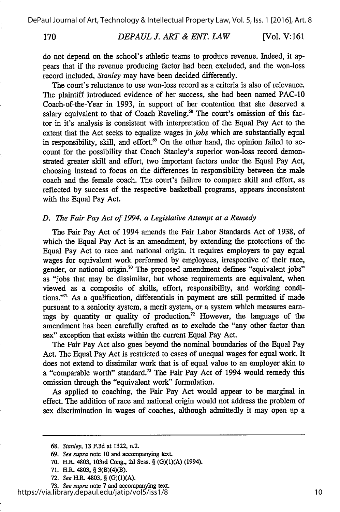170

#### *DEPAUL J. ART & ENT. LAW* **[Vol.** V: **161**

do not depend on the school's athletic teams to produce revenue. Indeed, it appears that if the revenue producing factor had been excluded, and the won-loss record included, *Stanley* may have been decided differently.

The court's reluctance to use won-loss record as a criteria is also of relevance. The plaintiff introduced evidence of her success, she had been named PAC-10 Coach-of-the-Year in 1993, in support of her contention that she deserved a salary equivalent to that of Coach Raveling.<sup>68</sup> The court's omission of this factor in it's analysis is consistent with interpretation of the Equal Pay Act to the extent that the Act seeks to equalize wages in *jobs* which are substantially equal in responsibility, skill, and effort. $\mathcal{P}$  On the other hand, the opinion failed to account for the possibility that Coach Stanley's superior won-loss record demonstrated greater skill and effort, two important factors under the Equal Pay Act, choosing instead to focus on the differences in responsibility between the male coach and the female coach. The court's failure to compare skill and effort, as reflected by success of the respective basketball programs, appears inconsistent with the Equal Pay Act.

#### *D. The Fair Pay Act of 1994, a Legislative Attempt at a Remedy*

The Fair Pay Act of 1994 amends the Fair Labor Standards Act of 1938, of which the Equal Pay Act is an amendment, by extending the protections of the Equal Pay Act to race and national origin. It requires employers to pay equal wages for equivalent work performed by employees, irrespective of their race, gender, or national origin.<sup>70</sup> The proposed amendment defines "equivalent jobs" as "jobs that may be dissimilar, but whose requirements are equivalent, when viewed as a composite of skills, effort, responsibility, and working conditions."<sup> $71$ </sup> As a qualification, differentials in payment are still permitted if made pursuant to a seniority system, a merit system, or a system which measures earnings by quantity or quality of production.<sup>72</sup> However, the language of the amendment has been carefully crafted as to exclude the "any other factor than sex" exception that exists within the current Equal Pay Act.

The Fair Pay Act also goes beyond the nominal boundaries of the Equal Pay Act. The Equal Pay Act is restricted to cases of unequal wages for equal work. It does not extend to dissimilar work that is of equal value to an employer akin to a "comparable worth" standard.<sup>73</sup> The Fair Pay Act of 1994 would remedy this omission through the "equivalent work" formulation.

As applied to coaching, the Fair Pay Act would appear to be marginal in effect. The addition of race and national origin would not address the problem of sex discrimination in wages of coaches, although admittedly it may open up a

- **71. H.R.** 4803, § **3(B)(4)(B).**
- **72.** *See* H.R. 4803, § **(G)(1)(A).**

**73.** *See supra* note **7** and accompanying text.

https://via.library.depaul.edu/jatip/vol5/iss1/8

**<sup>68.</sup>** *Stanley,* **13 F.3d** at **1322,** n.2.

**<sup>69.</sup>** *See supra* note **10 and** accompanying text.

**<sup>70.</sup>** H.R. 4803, 103rd Cong., **2d** Sess. § **(G)(1)(A)** (1994).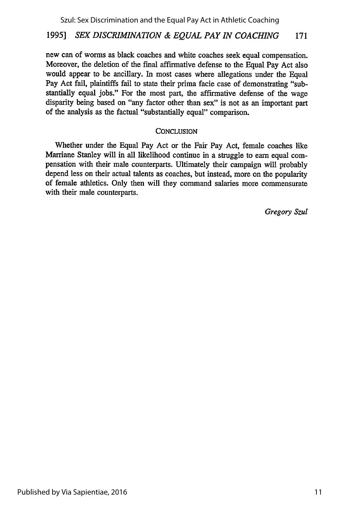new can of worms as black coaches and white coaches seek equal compensation. Moreover, the deletion of the final affirmative defense to the Equal Pay Act also would appear to be ancillary. In most cases where allegations under the Equal Pay Act fail, plaintiffs fail to state their prima facie case of demonstrating "substantially equal jobs." For the most part, the affirmative defense of the wage disparity being based on "any factor other than sex" is not as an important part of the analysis as the factual "substantially equal" comparison.

#### **CONCLUSION**

Whether under the Equal Pay Act or the Fair Pay Act, female coaches like Marriane Stanley will in all likelihood continue in a struggle to earn equal compensation with their male counterparts. Ultimately their campaign will probably depend less on their actual talents as coaches, but instead, more on the popularity of female athletics. Only then will they command salaries more commensurate with their male counterparts.

*Gregory Szul*